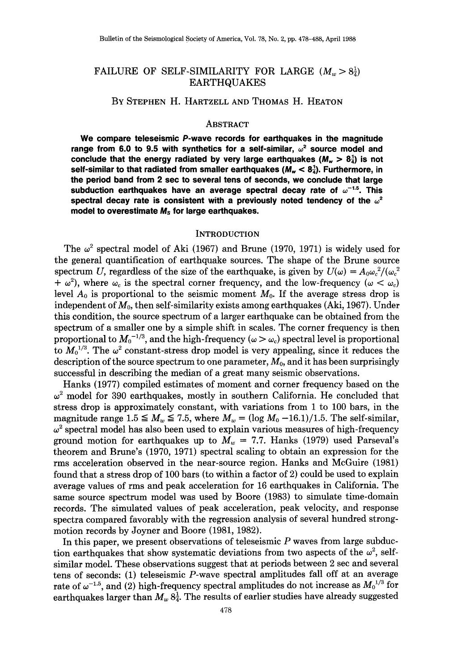# FAILURE OF SELF-SIMILARITY FOR LARGE  $(M_w > 8^1_\text{d})$ EARTHQUAKES

### BY STEPHEN H. HARTZELL AND THOMAS H. HEATON

### ABSTRACT

**We compare teleseismic P-wave records for earthquakes in the magnitude**  range from 6.0 to 9.5 with synthetics for a self-similar,  $\omega^2$  source model and conclude that the energy radiated by very large earthquakes  $(M_{\nu} > 8\frac{1}{4})$  is not self-similar to that radiated from smaller earthquakes  $(M_w < 8\frac{1}{4})$ . Furthermore, in **the period band from 2 sec to several tens of seconds, we conclude that large**  subduction earthquakes have an average spectral decay rate of  $\omega^{-1.5}$ . This spectral decay rate is consistent with a previously noted tendency of the  $\omega^2$ **model to overestimate** *Ms* **for large earthquakes.** 

#### **INTRODUCTION**

The  $\omega^2$  spectral model of Aki (1967) and Brune (1970, 1971) is widely used for the general quantification of earthquake sources. The shape of the Brune source spectrum U, regardless of the size of the earthquake, is given by  $U(\omega) = A_0 \omega_c^2/(\omega_c^2)$  $+ \omega^2$ ), where  $\omega_c$  is the spectral corner frequency, and the low-frequency ( $\omega < \omega_c$ ) level  $A_0$  is proportional to the seismic moment  $M_0$ . If the average stress drop is independent of *Mo,* then self-similarity exists among earthquakes (Aki, 1967). Under this condition, the source spectrum of a larger earthquake can be obtained from the spectrum of a smaller one by a simple shift in scales. The corner frequency is then proportional to  $M_0^{-1/3}$ , and the high-frequency ( $\omega > \omega_c$ ) spectral level is proportional to  $M_0^{1/3}$ . The  $\omega^2$  constant-stress drop model is very appealing, since it reduces the description of the source spectrum to one parameter,  $M_0$ , and it has been surprisingly successful in describing the median of a great many seismic observations.

Hanks (1977) compiled estimates of moment and corner frequency based on the  $\omega^2$  model for 390 earthquakes, mostly in southern California. He concluded that stress drop is approximately constant, with variations from 1 to 100 bars, in the magnitude range  $1.5 \leq M_w \leq 7.5$ , where  $M_w = (\log M_0 - 16.1)/1.5$ . The self-similar,  $\omega^2$  spectral model has also been used to explain various measures of high-frequency ground motion for earthquakes up to  $M_w = 7.7$ . Hanks (1979) used Parseval's theorem and Brune's (1970, 1971) spectral scaling to obtain an expression for the rms acceleration observed in the near-source region. Hanks and McGuire (1981) found that a stress drop of 100 bars (to within a factor of 2) could be used to explain average values of rms and peak acceleration for 16 earthquakes in California. The same source spectrum model was used by Boore (1983) to simulate time-domain records. The simulated values of peak acceleration, peak velocity, and response spectra compared favorably with the regression analysis of several hundred strongmotion records by Joyner and Boore (1981, 1982).

In this paper, we present observations of teleseismic  $P$  waves from large subduction earthquakes that show systematic deviations from two aspects of the  $\omega^2$ , selfsimilar model. These observations suggest that at periods between 2 sec and several tens of seconds: (1) teleseismic P-wave spectral amplitudes fall off at an average rate of  $\omega^{-1.5}$ , and (2) high-frequency spectral amplitudes do not increase as  $M_0{}^{1/3}$  for earthquakes larger than  $M_w 8\frac{1}{4}$ . The results of earlier studies have already suggested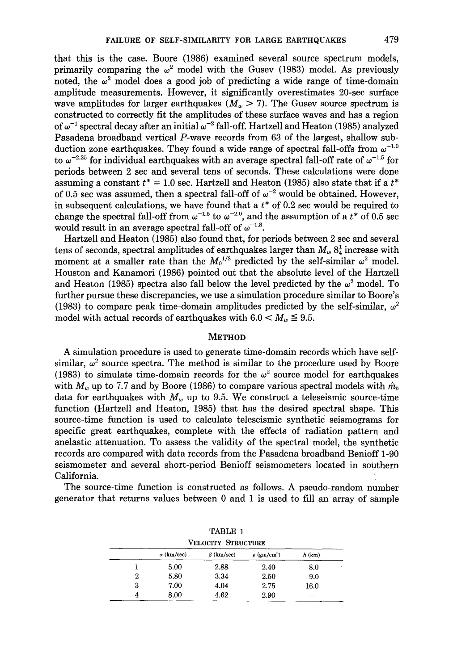that this is the case. Boore (1986) examined several source spectrum models, primarily comparing the  $\omega^2$  model with the Gusev (1983) model. As previously noted, the  $\omega^2$  model does a good job of predicting a wide range of time-domain amplitude measurements. However, it significantly overestimates 20-sec surface wave amplitudes for larger earthquakes  $(M_w > 7)$ . The Gusev source spectrum is constructed to correctly fit the amplitudes of these surface waves and has a region of  $\omega^{-1}$  spectral decay after an initial  $\omega^{-2}$  fall-off. Hartzell and Heaton (1985) analyzed Pasadena broadband vertical P-wave records from 63 of the largest, shallow subduction zone earthquakes. They found a wide range of spectral fall-offs from  $\omega^{-1.0}$ to  $\omega^{-2.25}$  for individual earthquakes with an average spectral fall-off rate of  $\omega^{-1.5}$  for periods between 2 sec and several tens of seconds. These calculations were done assuming a constant  $t^* = 1.0$  sec. Hartzell and Heaton (1985) also state that if a  $t^*$ of 0.5 sec was assumed, then a spectral fall-off of  $\omega^{-2}$  would be obtained. However, in subsequent calculations, we have found that a *t\** of 0.2 sec would be required to change the spectral fall-off from  $\omega^{-1.5}$  to  $\omega^{-2.0}$ , and the assumption of a  $t^*$  of 0.5 sec would result in an average spectral fall-off of  $\omega^{-1.8}$ .

Hartzell and Heaton (1985) also found that, for periods between 2 sec and several tens of seconds, spectral amplitudes of earthquakes larger than  $M_w 8\frac{1}{4}$  increase with moment at a smaller rate than the  $M_0^{1/3}$  predicted by the self-similar  $\omega^2$  model. Houston and Kanamori (1986) pointed out that the absolute level of the Hartzell and Heaton (1985) spectra also fall below the level predicted by the  $\omega^2$  model. To further pursue these discrepancies, we use a simulation procedure similar to Boore's (1983) to compare peak time-domain amplitudes predicted by the self-similar,  $\omega^2$ model with actual records of earthquakes with  $6.0 < M_w \le 9.5$ .

## **METHOD**

A simulation procedure is used to generate time-domain records which have selfsimilar,  $\omega^2$  source spectra. The method is similar to the procedure used by Boore (1983) to simulate time-domain records for the  $\omega^2$  source model for earthquakes with  $M_w$  up to 7.7 and by Boore (1986) to compare various spectral models with  $\hat{m}_b$ data for earthquakes with  $M_w$  up to 9.5. We construct a teleseismic source-time function (Hartzell and Heaton, 1985) that has the desired spectral shape. This source-time function is used to calculate teleseismic synthetic seismograms for specific great earthquakes, complete with the effects of radiation pattern and anelastic attenuation. To assess the validity of the spectral model, the synthetic records are compared with data records from the Pasadena broadband Benioff 1-90 seismometer and several short-period Benioff seismometers located in southern California.

The source-time function is constructed as follows. A pseudo-random number generator that returns values between 0 and 1 is used to fill an array of sample

| TABLE 1 |                   |                    |                              |          |  |  |  |  |  |  |  |  |  |
|---------|-------------------|--------------------|------------------------------|----------|--|--|--|--|--|--|--|--|--|
|         |                   | VELOCITY STRUCTURE |                              |          |  |  |  |  |  |  |  |  |  |
|         | $\alpha$ (km/sec) | $\beta$ (km/sec)   | $\rho$ (gm/cm <sup>3</sup> ) | $h$ (km) |  |  |  |  |  |  |  |  |  |
|         | 5.00              | 2.88               | 2.40                         | 8.0      |  |  |  |  |  |  |  |  |  |
| 2       | 5.80              | 3.34               | 2.50                         | 9.0      |  |  |  |  |  |  |  |  |  |
| 3       | 7.00              | 4.04               | 2.75                         | 16.0     |  |  |  |  |  |  |  |  |  |
| 4       | 8.00              | 4.62               | 2.90                         |          |  |  |  |  |  |  |  |  |  |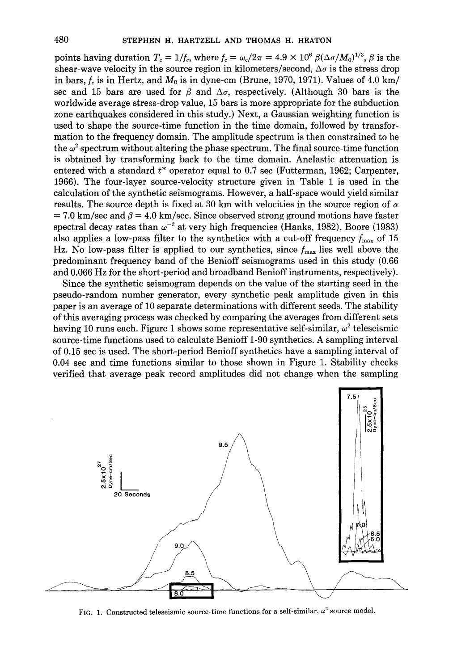points having duration  $T_c = 1/f_c$ , where  $f_c = \omega_c/2\pi = 4.9 \times 10^6 \beta (\Delta \sigma / M_0)^{1/3}$ ,  $\beta$  is the shear-wave velocity in the source region in kilometers/second,  $\Delta \sigma$  is the stress drop in bars,  $f_c$  is in Hertz, and  $M_0$  is in dyne-cm (Brune, 1970, 1971). Values of 4.0 km/ sec and 15 bars are used for  $\beta$  and  $\Delta\sigma$ , respectively. (Although 30 bars is the worldwide average stress-drop value, 15 bars is more appropriate for the subduction zone earthquakes considered in this study.) Next, a Gaussian weighting function is used to shape the source-time function in the time domain, followed by transformation to the frequency domain. The amplitude spectrum is then constrained to be the  $\omega^2$  spectrum without altering the phase spectrum. The final source-time function is obtained by transforming back to the time domain. Anelastic attenuation is entered with a standard *t\** operator equal to 0.7 sec (Futterman, 1962; Carpenter, 1966). The four-layer source-velocity structure given in Table 1 is used in the calculation of the synthetic seismograms. However, a half-space would yield similar results. The source depth is fixed at 30 km with velocities in the source region of *a*   $= 7.0$  km/sec and  $\beta = 4.0$  km/sec. Since observed strong ground motions have faster spectral decay rates than  $\omega^{-2}$  at very high frequencies (Hanks, 1982), Boore (1983) also applies a low-pass filter to the synthetics with a cut-off frequency  $f_{\text{max}}$  of 15 Hz. No low-pass filter is applied to our synthetics, since  $f_{\text{max}}$  lies well above the predominant frequency band of the Benioff seismograms used in this study (0.66 and 0.066 Hz for the short-period and broadband Benioff instruments, respectively).

Since the synthetic seismogram depends on the value of the starting seed in the pseudo-random number generator, every synthetic peak amplitude given in this paper is an average of 10 separate determinations with different seeds. The stability of this averaging process was checked by comparing the averages from different sets having 10 runs each. Figure 1 shows some representative self-similar,  $\omega^2$  teleseismic source-time functions used to calculate Benioff 1-90 synthetics. A sampling interval of 0.15 sec is used. The short-period Benioff synthetics have a sampling interval of 0.04 sec and time functions similar to those shown in Figure 1. Stability checks verified that average peak record amplitudes did not change when the sampling



FIG. 1. Constructed teleseismic source-time functions for a self-similar,  $\omega^2$  source model.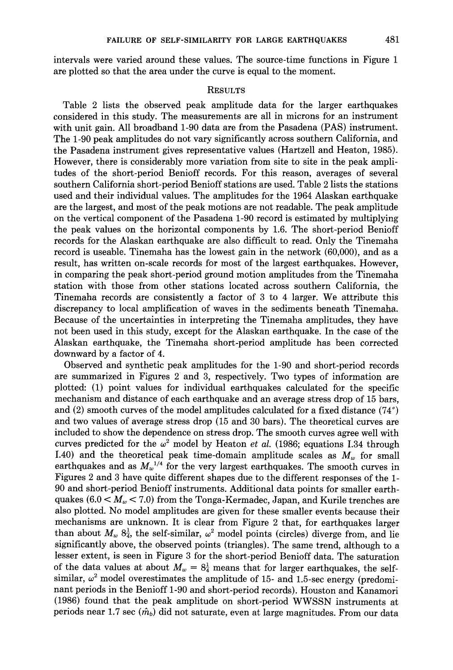intervals were varied around these values. The source-time functions in Figure 1 are plotted so that the area under the curve is equal to the moment.

### RESULTS

Table 2 lists the observed peak amplitude data for the larger earthquakes considered in this study. The measurements are all in microns for an instrument with unit gain. All broadband 1-90 data are from the Pasadena (PAS) instrument. The 1-90 peak amplitudes do not vary significantly across southern California, and the Pasadena instrument gives representative values (Hartzell and Heaton, 1985). However, there is considerably more variation from site to site in the peak amplitudes of the short-period Benioff records. For this reason, averages of several southern California short-period Benioff stations are used. Table 2 lists the stations used and their individual values. The amplitudes for the 1964 Alaskan earthquake are the largest, and most of the peak motions are not readable. The peak amplitude on the vertical component of the Pasadena 1-90 record is estimated by multiplying the peak values on the horizontal components by 1.6. The short-period Benioff records for the Alaskan earthquake are also difficult to read. Only the Tinemaha record is useable. Tinemaha has the lowest gain in the network (60,000), and as a result, has written on-scale records for most of the largest earthquakes. However, in comparing the peak short-period ground motion amplitudes from the Tinemaha station with those from other stations located across southern California, the Tinemaha records are consistently a factor of 3 to 4 larger. We attribute this discrepancy to local amplification of waves in the sediments beneath Tinemaha. Because of the uncertainties in interpreting the Tinemaha amplitudes, they have not been used in this study, except for the Alaskan earthquake. In the case of the Alaskan earthquake, the Tinemaha short-period amplitude has been corrected downward by a factor of 4.

Observed and synthetic peak amplitudes for the 1-90 and short-period records are summarized in Figures 2 and 3, respectively. Two types of information are plotted: (1) point values for individual earthquakes calculated for the specific mechanism and distance of each earthquake and an average stress drop of 15 bars, and (2) smooth curves of the model amplitudes calculated for a fixed distance  $(74^{\circ})$ and two values of average stress drop (15 and 30 bars). The theoretical curves are included to show the dependence on stress drop. The smooth curves agree well with curves predicted for the  $\omega^2$  model by Heaton *et al.* (1986; equations I.34 through I.40) and the theoretical peak time-domain amplitude scales as  $M_w$  for small earthquakes and as  $M_w^{1/4}$  for the very largest earthquakes. The smooth curves in Figures 2 and 3 have quite different shapes due to the different responses of the 1- 90 and short-period Benioff instruments. Additional data points for smaller earthquakes  $(6.0 < M_w < 7.0)$  from the Tonga-Kermadec, Japan, and Kurile trenches are also plotted. No model amplitudes are given for these smaller events because their mechanisms are unknown. It is clear from Figure 2 that, for earthquakes larger than about  $M_w$   $8\frac{1}{4}$ , the self-similar,  $\omega^2$  model points (circles) diverge from, and lie significantly above, the observed points (triangles). The same trend, although to a lesser extent, is seen in Figure 3 for the short-period Benioff data. The saturation of the data values at about  $M_w = 8\frac{1}{4}$  means that for larger earthquakes, the selfsimilar,  $\omega^2$  model overestimates the amplitude of 15- and 1.5-sec energy (predominant periods in the Benioff 1-90 and short-period records). Houston and Kanamori (1986) found that the peak amplitude on short-period WWSSN instruments at periods near 1.7 sec  $(\hat{m}_b)$  did not saturate, even at large magnitudes. From our data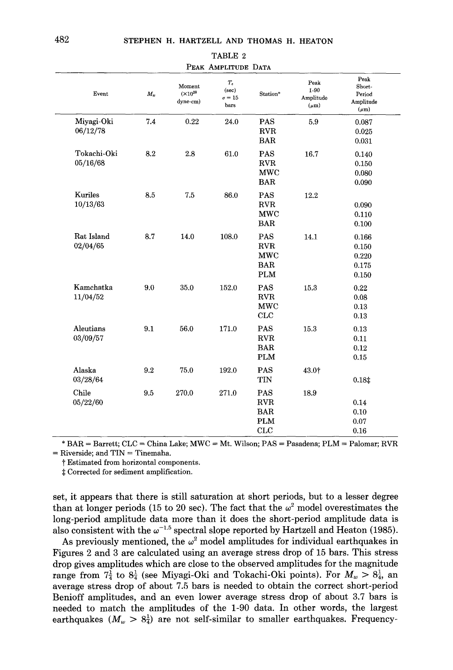| Event                   | $M_w$ | Moment<br>$(x10^{28}$<br>dyne-cm) | $T_{c}$<br>(sec)<br>$\sigma = 15$<br>bars | Station*                                             | Peak<br>1-90<br>Amplitude<br>$(\mu m)$ | Peak<br>Short-<br>Period<br>Amplitude<br>$(\mu m)$ |
|-------------------------|-------|-----------------------------------|-------------------------------------------|------------------------------------------------------|----------------------------------------|----------------------------------------------------|
| Miyagi-Oki<br>06/12/78  | 7.4   | 0.22                              | 24.0                                      | <b>PAS</b><br><b>RVR</b><br><b>BAR</b>               | 5.9                                    | 0.087<br>0.025<br>0.031                            |
| Tokachi-Oki<br>05/16/68 | 8.2   | 2.8                               | 61.0                                      | PAS<br><b>RVR</b><br><b>MWC</b><br><b>BAR</b>        | 16.7                                   | 0.140<br>0.150<br>0.080<br>0.090                   |
| Kuriles<br>10/13/63     | 8.5   | 7.5                               | 86.0                                      | PAS<br><b>RVR</b><br><b>MWC</b><br><b>BAR</b>        | 12.2                                   | 0.090<br>0.110<br>0.100                            |
| Rat Island<br>02/04/65  | 8.7   | 14.0                              | 108.0                                     | PAS<br>RVR<br><b>MWC</b><br><b>BAR</b><br><b>PLM</b> | 14.1                                   | 0.166<br>0.150<br>0.220<br>0.175<br>0.150          |
| Kamchatka<br>11/04/52   | 9.0   | 35.0                              | 152,0                                     | PAS<br><b>RVR</b><br>MWC<br>CLC                      | 15.3                                   | 0.22<br>0.08<br>0.13<br>0.13                       |
| Aleutians<br>03/09/57   | 9.1   | 56.0                              | 171.0                                     | <b>PAS</b><br><b>RVR</b><br><b>BAR</b><br><b>PLM</b> | 15.3                                   | 0.13<br>0.11<br>0.12<br>0.15                       |
| Alaska<br>03/28/64      | 9.2   | 75.0                              | 192.0                                     | PAS<br>TIN                                           | 43.01                                  | 0.18 <sup>‡</sup>                                  |
| Chile<br>05/22/60       | 9.5   | 270.0                             | 271.0                                     | PAS<br><b>RVR</b><br><b>BAR</b><br><b>PLM</b><br>CLC | 18.9                                   | 0.14<br>0.10<br>0.07<br>0.16                       |

## TABLE 2 PEAK AMPLITUDE DATA

\* BAR = Barrett; CLC = China Lake; MWC = Mt. Wilson; PAS = Pasadena; PLM = Palomar; RVR  $=$  Riverside; and TIN  $=$  Tinemaha.

t Estimated from horizontal components.

\* Corrected for sediment amplification.

set, it appears that there is still saturation at short periods, but to a lesser degree than at longer periods (15 to 20 sec). The fact that the  $\omega^2$  model overestimates the long-period amplitude data more than it does the short-period amplitude data is also consistent with the  $\omega^{-1.5}$  spectral slope reported by Hartzell and Heaton (1985).

As previously mentioned, the  $\omega^2$  model amplitudes for individual earthquakes in Figures 2 and 3 are calculated using an average stress drop of 15 bars. This stress drop gives amplitudes which are close to the observed amplitudes for the magnitude range from  $7\frac{1}{4}$  to  $8\frac{1}{4}$  (see Miyagi-Oki and Tokachi-Oki points). For  $M_w > 8\frac{1}{4}$ , an average stress drop of about 7.5 bars is needed to obtain the correct short-period Benioff amplitudes, and an even lower average stress drop of about 3.7 bars is needed to match the amplitudes of the 1-90 data. In other words, the largest earthquakes  $(M_w > 8^{\frac{1}{4}})$  are not self-similar to smaller earthquakes. Frequency-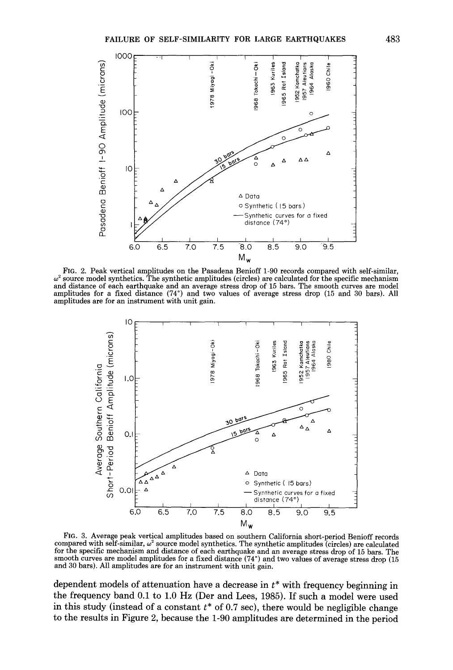

FIG. 2. Peak vertical amplitudes on the Pasadena Benioff 1-90 records compared with self-similar,  $\omega^2$  source model synthetics. The synthetic amplitudes (circles) are calculated for the specific mechanism and distance of each earthquake and an average stress drop of 15 bars. The smooth curves are model amplitudes for a fixed distance (74°) and two values of average stress drop (15 and 30 bars). All amplitudes are for an instrument with unit gain.



FIG. 3. Average peak vertical amplitudes based on southern California short-period Benioff records compared with self-similar, *w2* source model synthetics. The synthetic amplitudes (circles) are calculated for the specific mechanism and distance of each earthquake and an average stress drop of 15 bars. The smooth curves are model amplitudes for a fixed distance (74°) and two values of average stress drop (15 and 30 bars). All amplitudes are for an instrument with unit gain.

dependent models of attenuation have a decrease in *t\** with frequency beginning in the frequency band 0.1 to 1.0 Hz (Der and Lees, 1985). If such a model were used in this study (instead of a constant *t\** of 0.7 sec), there would be negligible change to the results in Figure 2, because the 1-90 amplitudes are determined in the period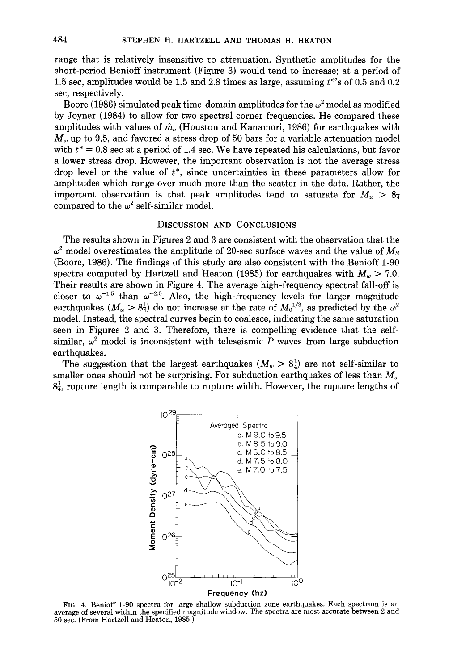range that is relatively insensitive to attenuation. Synthetic amplitudes for the short-period Benioff instrument (Figure 3) would tend to increase; at a period of 1.5 sec, amplitudes would be 1.5 and 2.8 times as large, assuming *t\*'s* of 0.5 and 0.2 sec, respectively.

Boore (1986) simulated peak time-domain amplitudes for the  $\omega^2$  model as modified by Joyner (1984) to allow for two spectral corner frequencies. He compared these amplitudes with values of *mb* (Houston and Kanamori, 1986) for earthquakes with  $M<sub>w</sub>$  up to 9.5, and favored a stress drop of 50 bars for a variable attenuation model with  $t^* = 0.8$  sec at a period of 1.4 sec. We have repeated his calculations, but favor a lower stress drop. However, the important observation is not the average stress drop level or the value of *t\*,* since uncertainties in these parameters allow for amplitudes which range over much more than the scatter in the data. Rather, the important observation is that peak amplitudes tend to saturate for  $M_w > 8\frac{1}{4}$ compared to the  $\omega^2$  self-similar model.

### DISCUSSION AND CONCLUSIONS

The results shown in Figures 2 and 3 are consistent with the observation that the  $\omega^2$  model overestimates the amplitude of 20-sec surface waves and the value of  $M_s$ (Boore, 1986). The findings of this study are also consistent with the Benioff 1-90 spectra computed by Hartzell and Heaton (1985) for earthquakes with  $M_w > 7.0$ . Their results are shown in Figure 4. The average high-frequency spectral fall-off is closer to  $\omega^{-1.5}$  than  $\omega^{-2.0}$ . Also, the high-frequency levels for larger magnitude earthquakes  $(M_w > 8\frac{1}{4})$  do not increase at the rate of  $M_0^{1/3}$ , as predicted by the  $\omega^2$ model. Instead, the spectral curves begin to coalesce, indicating the same saturation seen in Figures 2 and 3. Therefore, there is compelling evidence that the selfsimilar,  $\omega^2$  model is inconsistent with teleseismic *P* waves from large subduction earthquakes.

The suggestion that the largest earthquakes  $(M_w > 8\frac{1}{4})$  are not self-similar to smaller ones should not be surprising. For subduction earthquakes of less than  $M_w$  $8\frac{1}{4}$ , rupture length is comparable to rupture width. However, the rupture lengths of



FIG. 4. Benioff 1-90 spectra for large shallow subduction zone earthquakes. Each spectrum is an average of several within the specified magnitude window. The spectra are most accurate between 2 and 50 sec. (From Hartzell and Heaton, 1985.)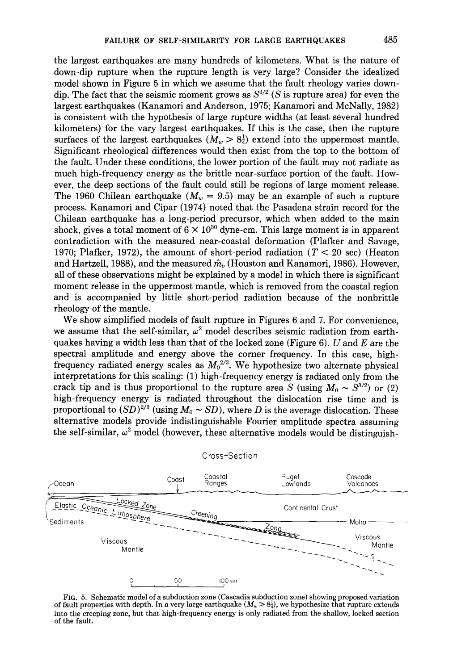the largest earthquakes are many hundreds of kilometers. What is the nature of down-dip rupture when the rupture length is very large? Consider the idealized model shown in Figure 5 in which we assume that the fault rheology varies downdip. The fact that the seismic moment grows as  $S^{3/2}$  (S is rupture area) for even the largest earthquakes (Kanamori and Anderson, 1975; Kanamori and McNally, 1982) is consistent with the hypothesis of large rupture widths (at least several hundred kilometers) for the vary largest earthquakes. If this is the case, then the rupture surfaces of the largest earthquakes  $(M_w > 8\frac{1}{4})$  extend into the uppermost mantle. Significant rheological differences would then exist from the top to the bottom of the fault. Under these conditions, the lower portion of the fault may not radiate as much high-frequency energy as the brittle near-surface portion of the fault. However, the deep sections of the fault could still be regions of large moment release. The 1960 Chilean earthquake  $(M_w = 9.5)$  may be an example of such a rupture process. Kanamori and Cipar (1974) noted that the Pasadena strain record for the Chilean earthquake has a long-period precursor, which when added to the main shock, gives a total moment of  $6 \times 10^{30}$  dyne-cm. This large moment is in apparent contradiction with the measured near-coastal deformation (Plafker and Savage, 1970; Plafker, 1972), the amount of short-period radiation ( $T < 20$  sec) (Heaton and Hartzell, 1988), and the measured  $\hat{m}_b$  (Houston and Kanamori, 1986). However, all of these observations might be explained by a model in which there is significant moment release in the uppermost mantle, which is removed from the coastal region and is accompanied by little short-period radiation because of the nonbrittle rheology of the mantle.

We show simplified models of fault rupture in Figures 6 and 7. For convenience, we assume that the self-similar,  $\omega^2$  model describes seismic radiation from earthquakes having a width less than that of the locked zone (Figure 6).  $U$  and  $E$  are the spectral amplitude and energy above the corner frequency. In this case, highfrequency radiated energy scales as  $M_0^{2/3}$ . We hypothesize two alternate physical interpretations for this scaling: (1) high-frequency energy is radiated only from the crack tip and is thus proportional to the rupture area *S* (using  $M_0 \sim S^{3/2}$ ) or (2) high-frequency energy is radiated throughout the dislocation rise time and is proportional to  $(SD)^{2/3}$  (using  $M_0 \sim SD$ ), where D is the average dislocation. These alternative models provide indistinguishable Fourier amplitude spectra assuming the self-similar,  $\omega^2$  model (however, these alternative models would be distinguish-



Cross-Section

FIG. 5. Schematic model of a subduction zone (Cascadia subduction zone) showing proposed variation of fault properties with depth. In a very large earthquake  $(M_w > 8\frac{1}{4})$ , we hypothesize that rupture extends into the creeping zone, but that high-frequency energy is only radiated from the shallow, locked section of the fault.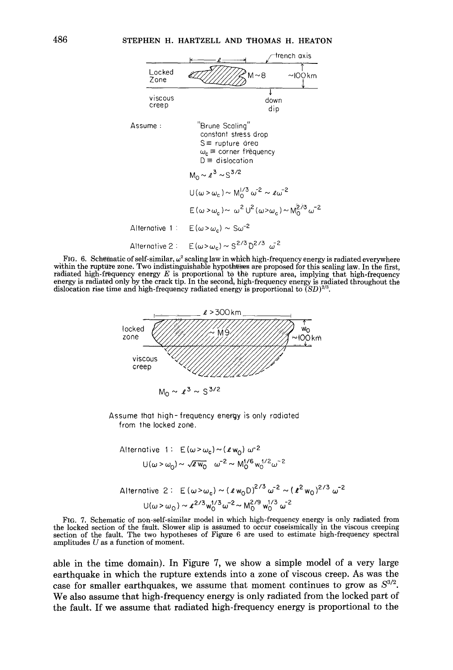

FIG. 6. Schematic of self-similar,  $\omega^2$  scaling law in which high-frequency energy is radiated everywhere within the rupture zone. Two indistinguishable hypotheses are proposed for this scaling law. In the first, radiated high-frequency energy  $E$  is proportional to the rupture area, implying that high-frequency energy is radiated only by the crack tip. In the second, high-frequency energy is radiated throughout the dislocation rise time and high-frequency radiated energy is proportional to  $(SD)^{2/3}$ .



Assume that high-frequency energy is only radiated from the locked zone.

Alternative 1: 
$$
E(\omega > \omega_c) \sim (\ell w_0) \omega^{-2}
$$

\n
$$
U(\omega > \omega_0) \sim \sqrt{\ell w_0} \quad \omega^{-2} \sim M_0^{1/6} w_0^{1/2} \omega^{-2}
$$

\nAlternative 2:  $E(\omega > \omega_c) \sim (\ell w_0 D)^{2/3} \omega^{-2} \sim (\ell^2 w_0)^{2/3} \omega^{-2}$ 

\n
$$
U(\omega > \omega_0) \sim \ell^{2/3} w_0^{1/3} \omega^{-2} \sim M_0^{2/9} w_0^{1/3} \omega^{-2}
$$

FIG. 7. Schematic of non-self-similar model in which high-frequency energy is only radiated from the locked section of the fault. Slower slip is assumed to occur coseismically in the viscous creeping section of the fault. The two hypotheses of Figure 6 are used to estimate high-frequency spectral amplitudes  $U$  as a function of moment.

able in the time domain). In Figure 7, we show a simple model of a very large earthquake in which the rupture extends into a zone of viscous creep. As was the case for smaller earthquakes, we assume that moment continues to grow as  $S^{3/2}$ . We also assume that high-frequency energy is only radiated from the locked part of the fault. If we assume that radiated high-frequency energy is proportional to the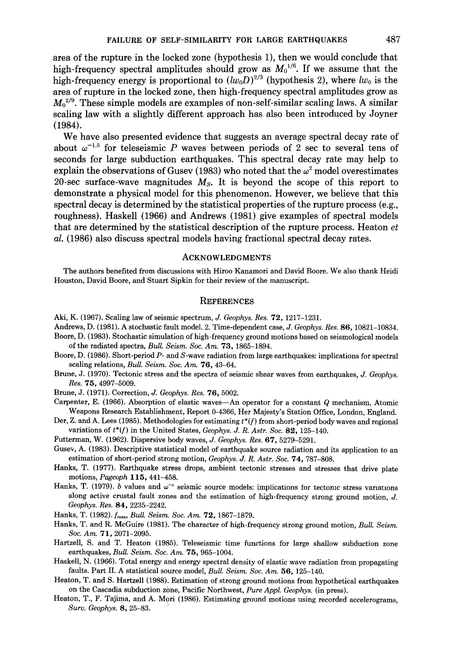area of the rupture in the locked zone (hypothesis 1), then we would conclude that high-frequency spectral amplitudes should grow as  $M_0^{1/6}$ . If we assume that the high-frequency energy is proportional to  $(lw_0D)^{2/3}$  (hypothesis 2), where  $lw_0$  is the area of rupture in the locked zone, then high-frequency spectral amplitudes grow as  $M_0^{2/9}$ . These simple models are examples of non-self-similar scaling laws. A similar scaling law with a slightly different approach has also been introduced by Joyner (1984).

We have also presented evidence that suggests an average spectral decay rate of about  $\omega^{-1.5}$  for teleseismic P waves between periods of 2 sec to several tens of seconds for large subduction earthquakes. This spectral decay rate may help to explain the observations of Gusev (1983) who noted that the  $\omega^2$  model overestimates 20-sec surface-wave magnitudes M*<sup>8</sup> •* It is beyond the scope of this report to demonstrate a physical model for this phenomenon. However, we believe that this spectral decay is determined by the statistical properties of the rupture process (e.g., roughness). Haskell (1966) and Andrews (1981) give examples of spectral models that are determined by the statistical description of the rupture process. Heaton *et al.* (1986) also discuss spectral models having fractional spectral decay rates.

### ACKNOWLEDGMENTS

The authors benefited from discussions with Hiroo Kanamori and David Boore. We also thank Heidi Houston, David Boore, and Stuart Sipkin for their review of the manuscript.

#### **REFERENCES**

- Aki, K. (1967). Scaling law of seismic spectrum, *J. Geophys. Res.* 72, 1217-1231.
- Andrews, D. (1981). A stochastic fault model. 2. Time-dependent case, *J. Geophys. Res.* 86, 10821-10834. Boore, D. (1983). Stochastic simulation of high-frequency ground motions based on seismological models
- of the radiated spectra, *Bull. Seism. Soc. Am.* 73, 1865-1894.
- Boore, D. (1986). Short-period *P-* and S-wave radiation from large earthquakes: implications for spectral scaling relations, *Bull. Seism. Soc. Am.* 76, 43-64.
- Brune, J. (1970). Tectonic stress and the spectra of seismic shear waves from earthquakes, *J. Geophys. Res.* 75, 4997-5009.

Brune, J. (1971). Correction, *J. Geophys. Res.* 76, 5002.

- Carpenter, E. (1966). Absorption of elastic waves-An operator for a constant Q mechanism, Atomic Weapons Research Establishment, Report 0-4366, Her Majesty's Station Office, London, England.
- Der, Z. and A. Lees (1985). Methodologies for estimating *t\*(f)* from short-period body waves and regional variations of *t\*(f)* in the United States, *Geophys. J. R. Astr. Soc.* 82, 125-140.
- Futterman, W. (1962). Dispersive body waves, *J. Geophys. Res.* 67, 5279-5291.
- Gusev, A. (1983). Descriptive statistical model of earthquake source radiation and its application to an estimation of short-period strong motion, *Geophys. J. R. Astr. Soc.* 7 4, 787-808.
- Hanks, T. (1977). Earthquake stress drops, ambient tectonic stresses and stresses that drive plate motions, *Pageoph* **115,** 441-458.
- Hanks, T. (1979). *b* values and  $\omega^{-\nu}$  seismic source models: implications for tectomc stress vanations along active crustal fault zones and the estimation of high-frequency strong ground motion, *J. Geophys. Res.* 84, 2235-2242.
- Hanks, T. (1982). *f<sub>max</sub>, Bull. Seism. Soc. Am.* **72**, 1867-1879.
- Hanks, T. and R. McGuire (1981). The character of high-frequency strong ground motion, *Bull. Seism. Soc. Am.* 71, 2071-2095.
- Hartzell, S. and T. Heaton (1985). Teleseismic time functions for large shallow subduction zone earthquakes, *Bull. Seism. Soc. Am.* 75, 965-1004.
- Haskell, N. (1966). Total energy and energy spectral density of elastic wave radiation from propagating faults. Part II. A statistical source model, *Bull. Seism. Soc. Am.* 56, 125-140.
- Heaton, T. and S. Hartzell (1988). Estimation of strong ground motions from hypothetical earthquakes on the Cascadia subduction zone, Pacific Northwest, *Pure Appl. Geophys.* (in press).
- Heaton, T., F. Tajima, and A. Mori (1986). Estimating ground motions using recorded accelerograms, *Surv. Geophys.* 8, 25-83. '